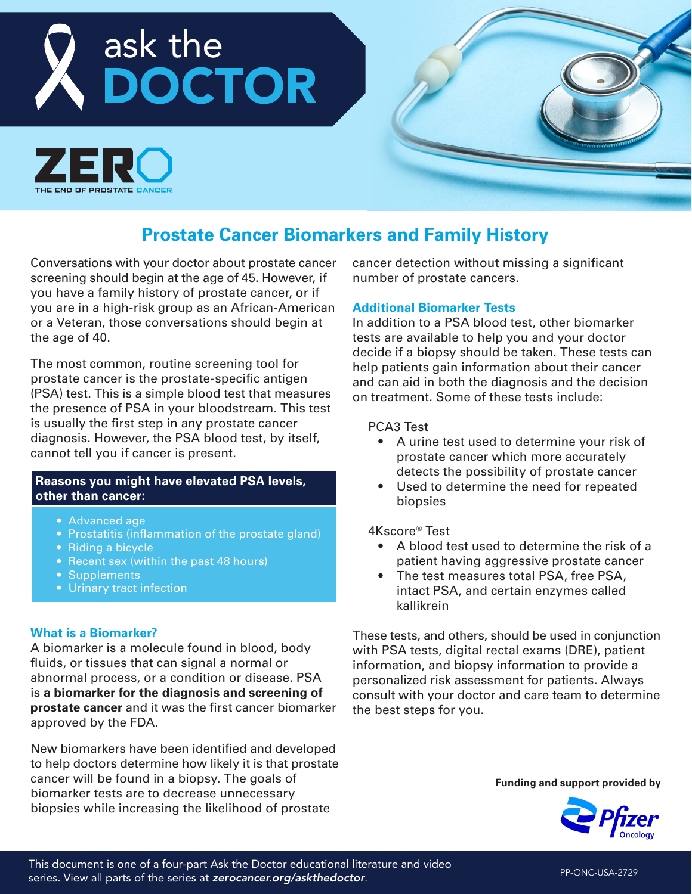



# **Prostate Cancer Biomarkers and Family History**

Conversations with your doctor about prostate cancer screening should begin at the age of 45. However, if you have a family history of prostate cancer, or if you are in a high-risk group as an African-American or a Veteran, those conversations should begin at the age of 40.

The most common, routine screening tool for prostate cancer is the prostate-specific antigen (PSA) test. This is a simple blood test that measures the presence of PSA in your bloodstream. This test is usually the first step in any prostate cancer diagnosis. However, the PSA blood test, by itself, cannot tell you if cancer is present.

#### **Reasons you might have elevated PSA levels, other than cancer:**

- Advanced age
- Prostatitis (inflammation of the prostate gland)
- Riding a bicycle
- Recent sex (within the past 48 hours)
- Supplements
- Urinary tract infection

#### **What is a Biomarker?**

A biomarker is a molecule found in blood, body fluids, or tissues that can signal a normal or abnormal process, or a condition or disease. PSA is **a biomarker for the diagnosis and screening of prostate cancer** and it was the first cancer biomarker approved by the FDA.

New biomarkers have been identified and developed to help doctors determine how likely it is that prostate cancer will be found in a biopsy. The goals of biomarker tests are to decrease unnecessary biopsies while increasing the likelihood of prostate

cancer detection without missing a significant number of prostate cancers.

#### **Additional Biomarker Tests**

In addition to a PSA blood test, other biomarker tests are available to help you and your doctor decide if a biopsy should be taken. These tests can help patients gain information about their cancer and can aid in both the diagnosis and the decision on treatment. Some of these tests include:

#### PCA3 Test

- A urine test used to determine your risk of prostate cancer which more accurately detects the possibility of prostate cancer
- Used to determine the need for repeated biopsies

#### 4Kscore® Test

- A blood test used to determine the risk of a patient having aggressive prostate cancer
- The test measures total PSA, free PSA, intact PSA, and certain enzymes called kallikrein

These tests, and others, should be used in conjunction with PSA tests, digital rectal exams (DRE), patient information, and biopsy information to provide a personalized risk assessment for patients. Always consult with your doctor and care team to determine the best steps for you.

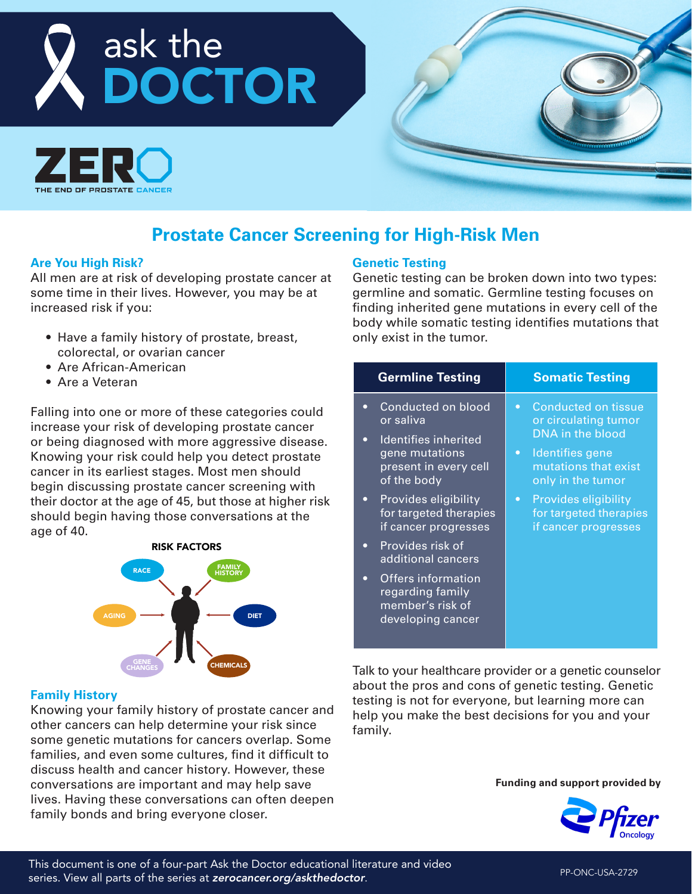



# **Prostate Cancer Screening for High-Risk Men**

#### **Are You High Risk?**

All men are at risk of developing prostate cancer at some time in their lives. However, you may be at increased risk if you:

- Have a family history of prostate, breast, colorectal, or ovarian cancer
- Are African-American
- Are a Veteran

Falling into one or more of these categories could increase your risk of developing prostate cancer or being diagnosed with more aggressive disease. Knowing your risk could help you detect prostate cancer in its earliest stages. Most men should begin discussing prostate cancer screening with their doctor at the age of 45, but those at higher risk should begin having those conversations at the age of 40.



#### **Family History**

Knowing your family history of prostate cancer and other cancers can help determine your risk since some genetic mutations for cancers overlap. Some families, and even some cultures, find it difficult to discuss health and cancer history. However, these conversations are important and may help save lives. Having these conversations can often deepen family bonds and bring everyone closer.

#### **Genetic Testing**

Genetic testing can be broken down into two types: germline and somatic. Germline testing focuses on finding inherited gene mutations in every cell of the body while somatic testing identifies mutations that only exist in the tumor.

| <b>Germline Testing</b>                                                                                                                                                                                                                                                                                                                                                                          | <b>Somatic Testing</b>                                                                                                                                                                                                                                         |
|--------------------------------------------------------------------------------------------------------------------------------------------------------------------------------------------------------------------------------------------------------------------------------------------------------------------------------------------------------------------------------------------------|----------------------------------------------------------------------------------------------------------------------------------------------------------------------------------------------------------------------------------------------------------------|
| Conducted on blood<br>$\bullet$<br>or saliva<br>Identifies inherited<br>$\bullet$<br>gene mutations<br>present in every cell<br>of the body<br>Provides eligibility<br>$\bullet$<br>for targeted therapies<br>if cancer progresses<br>Provides risk of<br>$\bullet$<br>additional cancers<br><b>Offers information</b><br>$\bullet$<br>regarding family<br>member's risk of<br>developing cancer | <b>Conducted on tissue</b><br>$\bullet$<br>or circulating tumor<br>DNA in the blood<br>Identifies gene<br>$\bullet$<br>mutations that exist<br>only in the tumor<br><b>Provides eligibility</b><br>$\bullet$<br>for targeted therapies<br>if cancer progresses |

Talk to your healthcare provider or a genetic counselor about the pros and cons of genetic testing. Genetic testing is not for everyone, but learning more can help you make the best decisions for you and your family.

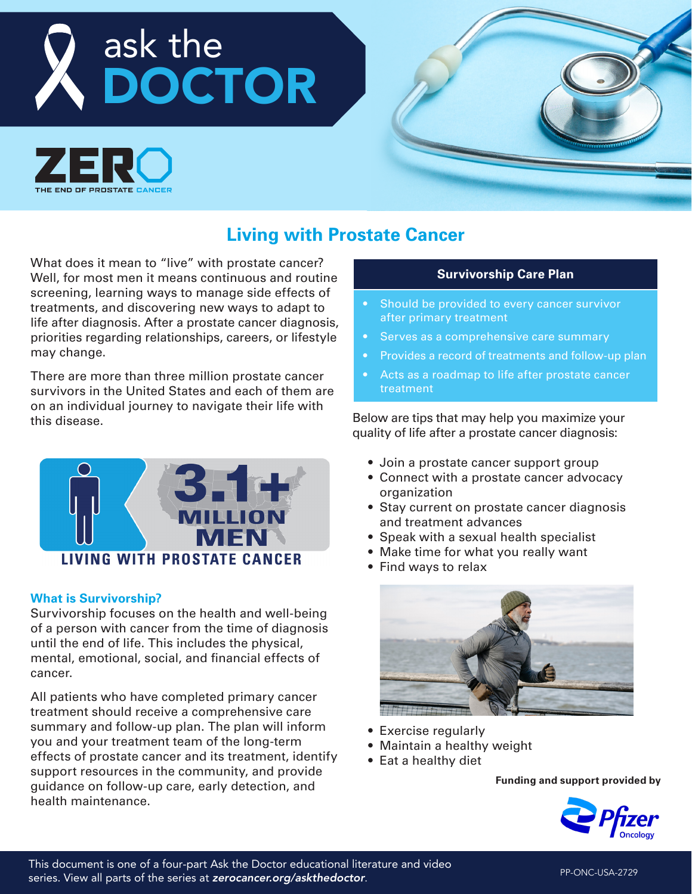# ask the DOCTOR



# **Living with Prostate Cancer**

What does it mean to "live" with prostate cancer? Well, for most men it means continuous and routine screening, learning ways to manage side effects of treatments, and discovering new ways to adapt to life after diagnosis. After a prostate cancer diagnosis, priorities regarding relationships, careers, or lifestyle may change.

There are more than three million prostate cancer survivors in the United States and each of them are on an individual journey to navigate their life with this disease.



## **What is Survivorship?**

Survivorship focuses on the health and well-being of a person with cancer from the time of diagnosis until the end of life. This includes the physical, mental, emotional, social, and financial effects of cancer.

All patients who have completed primary cancer treatment should receive a comprehensive care summary and follow-up plan. The plan will inform you and your treatment team of the long-term effects of prostate cancer and its treatment, identify support resources in the community, and provide guidance on follow-up care, early detection, and health maintenance.

### **Survivorship Care Plan**

- Should be provided to every cancer survivor after primary treatment
- Serves as a comprehensive care summary
- Provides a record of treatments and follow-up plan
- Acts as a roadmap to life after prostate cancer treatment

Below are tips that may help you maximize your quality of life after a prostate cancer diagnosis:

- Join a prostate cancer support group
- Connect with a prostate cancer advocacy organization
- Stay current on prostate cancer diagnosis and treatment advances
- Speak with a sexual health specialist
- Make time for what you really want
- Find ways to relax



- Exercise regularly
- Maintain a healthy weight
- Eat a healthy diet